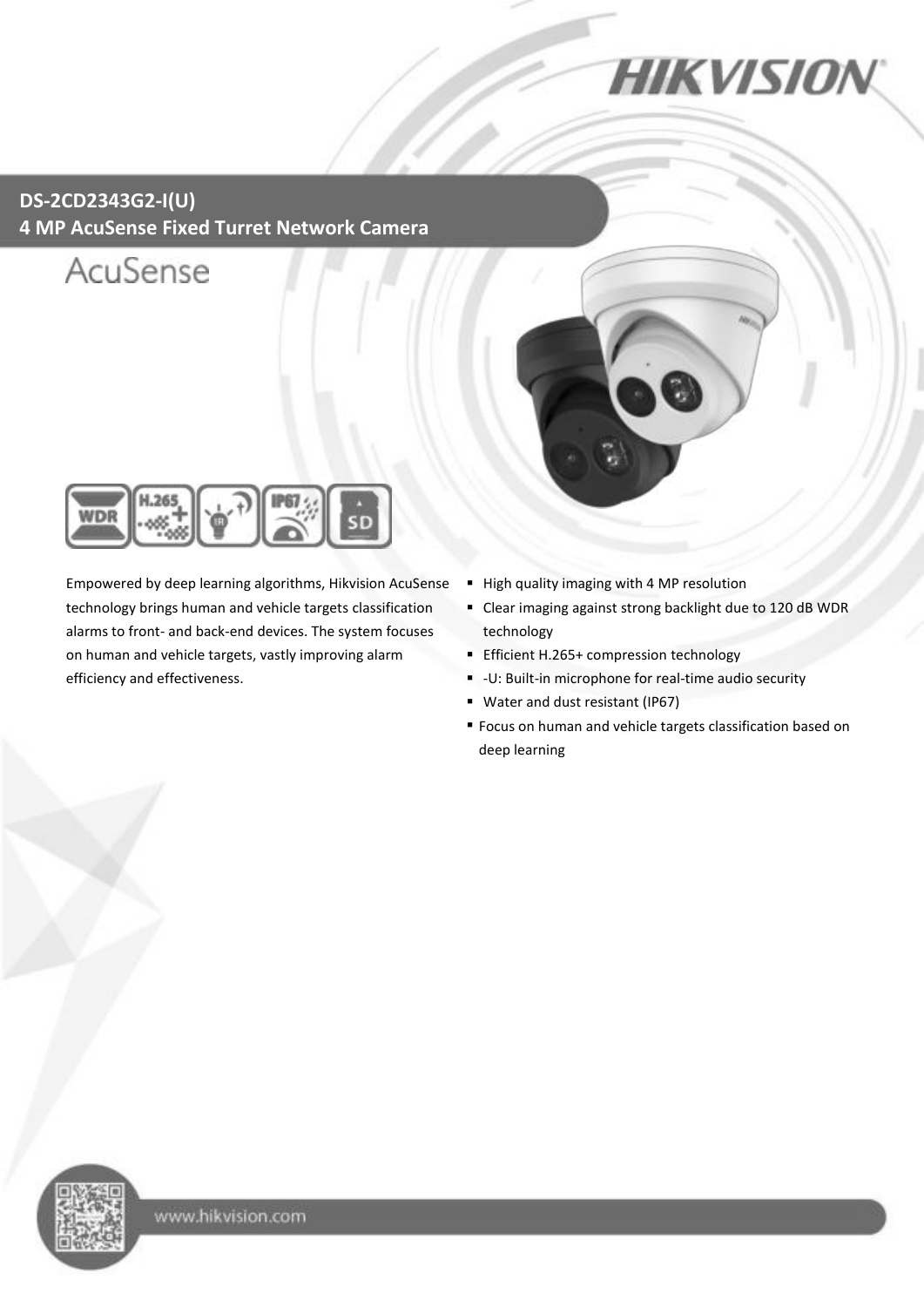# **HIKVISION**

### **DS-2CD2343G2-I(U) 4 MP AcuSense Fixed Turret Network Camera**





Empowered by deep learning algorithms, Hikvision AcuSense technology brings human and vehicle targets classification alarms to front- and back-end devices. The system focuses on human and vehicle targets, vastly improving alarm efficiency and effectiveness.



- High quality imaging with 4 MP resolution
- Clear imaging against strong backlight due to 120 dB WDR technology
- **Efficient H.265+ compression technology**
- -U: Built-in microphone for real-time audio security
- Water and dust resistant (IP67)
- Focus on human and vehicle targets classification based on deep learning

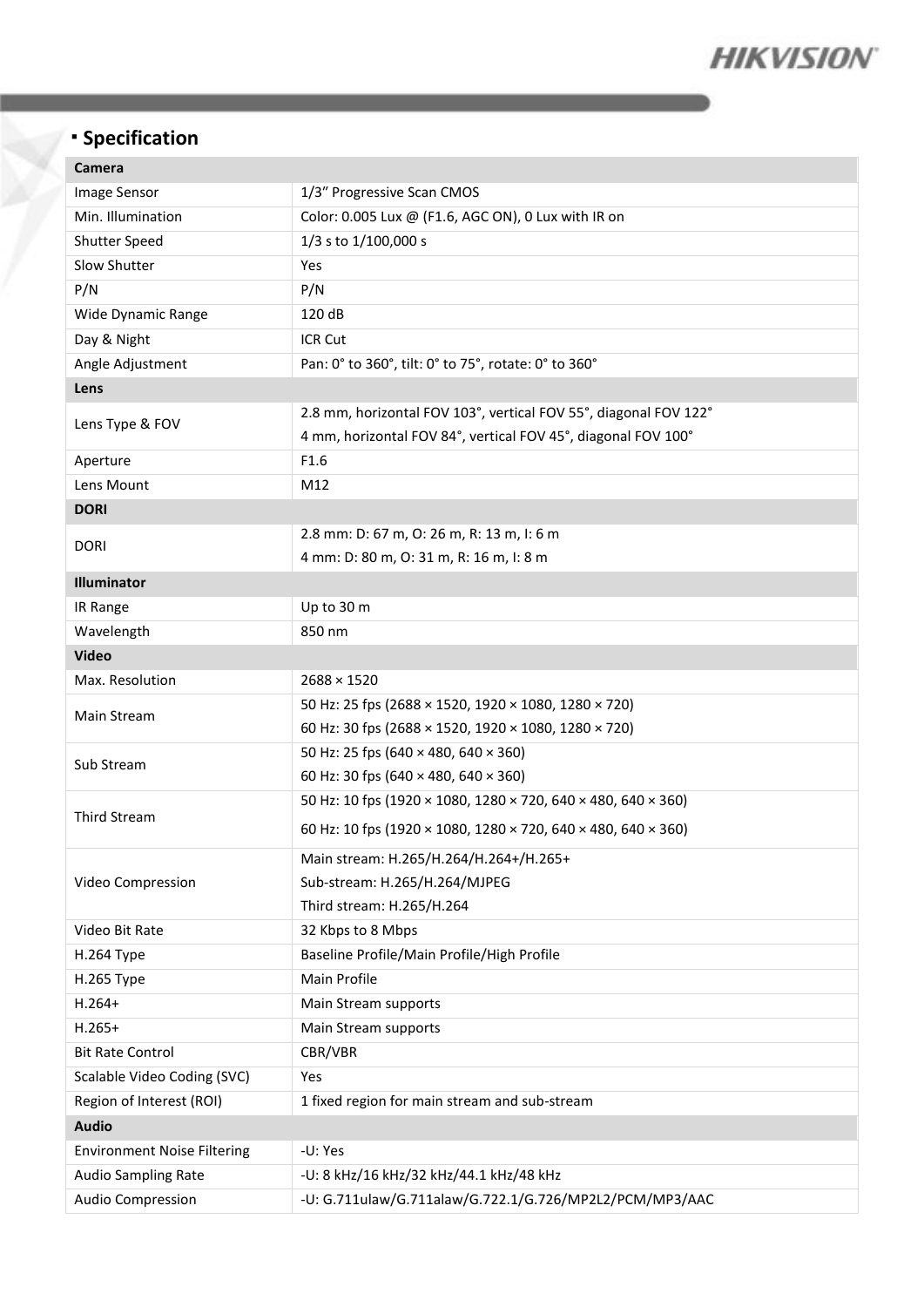

## **Specification**

| amera |
|-------|
|       |
|       |

Y

| Image Sensor                       | 1/3" Progressive Scan CMOS                                                |  |  |  |  |
|------------------------------------|---------------------------------------------------------------------------|--|--|--|--|
| Min. Illumination                  | Color: 0.005 Lux @ (F1.6, AGC ON), 0 Lux with IR on                       |  |  |  |  |
| Shutter Speed                      | 1/3 s to 1/100,000 s                                                      |  |  |  |  |
| Slow Shutter                       | Yes                                                                       |  |  |  |  |
| P/N                                | P/N                                                                       |  |  |  |  |
| Wide Dynamic Range                 | 120 dB                                                                    |  |  |  |  |
| Day & Night                        | ICR Cut                                                                   |  |  |  |  |
| Angle Adjustment                   | Pan: 0° to 360°, tilt: 0° to 75°, rotate: 0° to 360°                      |  |  |  |  |
| Lens                               |                                                                           |  |  |  |  |
|                                    | 2.8 mm, horizontal FOV 103°, vertical FOV 55°, diagonal FOV 122°          |  |  |  |  |
| Lens Type & FOV                    | 4 mm, horizontal FOV 84°, vertical FOV 45°, diagonal FOV 100°             |  |  |  |  |
| Aperture                           | F1.6                                                                      |  |  |  |  |
| Lens Mount                         | M12                                                                       |  |  |  |  |
| <b>DORI</b>                        |                                                                           |  |  |  |  |
|                                    | 2.8 mm: D: 67 m, O: 26 m, R: 13 m, I: 6 m                                 |  |  |  |  |
| <b>DORI</b>                        | 4 mm: D: 80 m, O: 31 m, R: 16 m, I: 8 m                                   |  |  |  |  |
| Illuminator                        |                                                                           |  |  |  |  |
| IR Range                           | Up to 30 m                                                                |  |  |  |  |
| Wavelength                         | 850 nm                                                                    |  |  |  |  |
| <b>Video</b>                       |                                                                           |  |  |  |  |
| Max. Resolution                    | $2688 \times 1520$                                                        |  |  |  |  |
|                                    | 50 Hz: 25 fps (2688 × 1520, 1920 × 1080, 1280 × 720)                      |  |  |  |  |
| Main Stream                        | 60 Hz: 30 fps (2688 $\times$ 1520, 1920 $\times$ 1080, 1280 $\times$ 720) |  |  |  |  |
| Sub Stream                         | 50 Hz: 25 fps (640 × 480, 640 × 360)                                      |  |  |  |  |
|                                    | 60 Hz: 30 fps (640 × 480, 640 × 360)                                      |  |  |  |  |
|                                    | 50 Hz: 10 fps (1920 × 1080, 1280 × 720, 640 × 480, 640 × 360)             |  |  |  |  |
| <b>Third Stream</b>                | 60 Hz: 10 fps (1920 × 1080, 1280 × 720, 640 × 480, 640 × 360)             |  |  |  |  |
|                                    | Main stream: H.265/H.264/H.264+/H.265+                                    |  |  |  |  |
| Video Compression                  | Sub-stream: H.265/H.264/MJPEG                                             |  |  |  |  |
|                                    | Third stream: H.265/H.264                                                 |  |  |  |  |
| Video Bit Rate                     | 32 Kbps to 8 Mbps                                                         |  |  |  |  |
| H.264 Type                         | Baseline Profile/Main Profile/High Profile                                |  |  |  |  |
| H.265 Type                         | Main Profile                                                              |  |  |  |  |
| $H.264+$                           | Main Stream supports                                                      |  |  |  |  |
| $H.265+$                           | Main Stream supports                                                      |  |  |  |  |
| <b>Bit Rate Control</b>            | CBR/VBR                                                                   |  |  |  |  |
| Scalable Video Coding (SVC)        | Yes                                                                       |  |  |  |  |
| Region of Interest (ROI)           | 1 fixed region for main stream and sub-stream                             |  |  |  |  |
| <b>Audio</b>                       |                                                                           |  |  |  |  |
| <b>Environment Noise Filtering</b> | -U: Yes                                                                   |  |  |  |  |
| <b>Audio Sampling Rate</b>         | -U: 8 kHz/16 kHz/32 kHz/44.1 kHz/48 kHz                                   |  |  |  |  |
| <b>Audio Compression</b>           | -U: G.711ulaw/G.711alaw/G.722.1/G.726/MP2L2/PCM/MP3/AAC                   |  |  |  |  |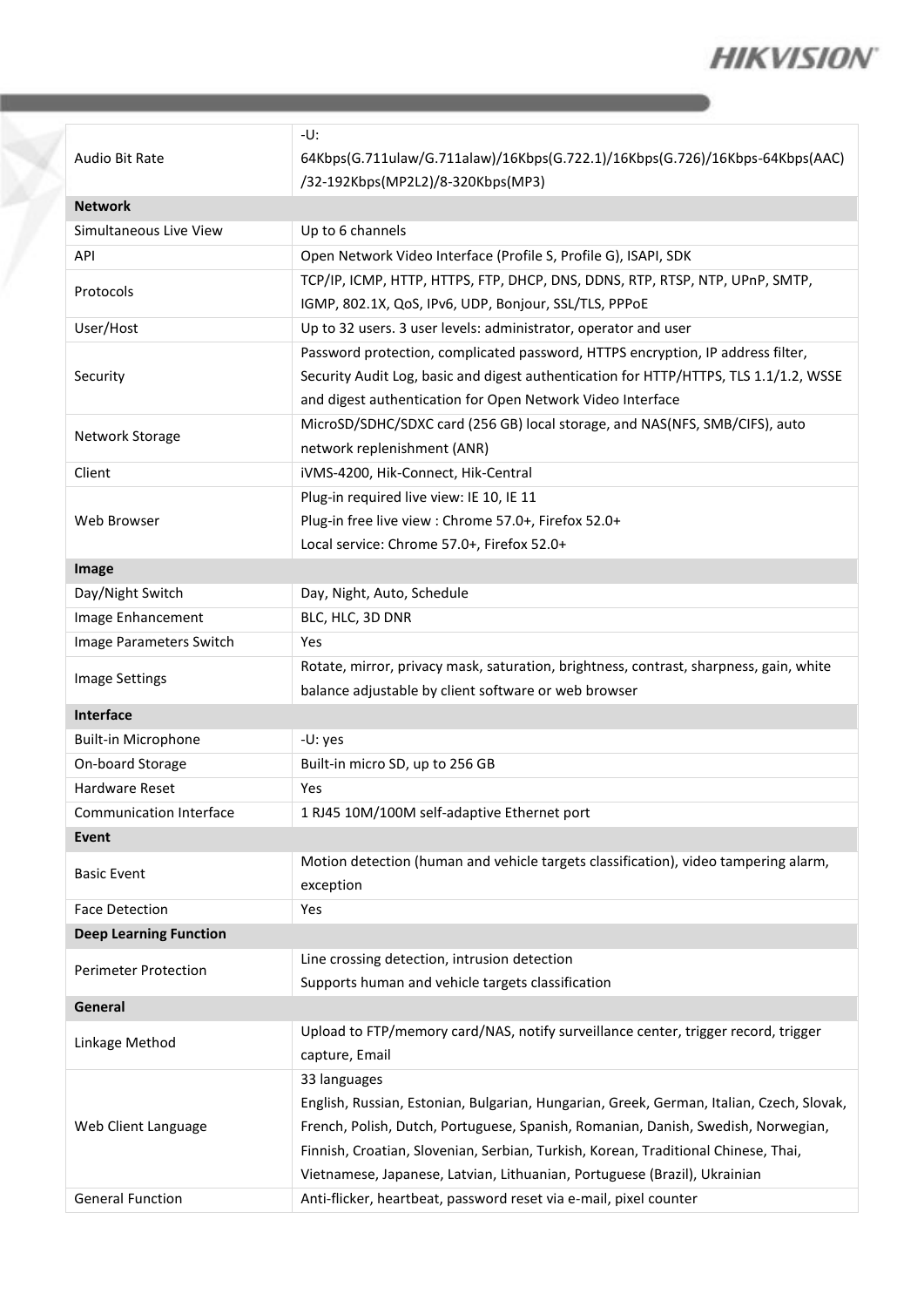

|                               | $-U$ :                                                                                   |  |  |  |  |  |  |  |
|-------------------------------|------------------------------------------------------------------------------------------|--|--|--|--|--|--|--|
| Audio Bit Rate                | 64Kbps(G.711ulaw/G.711alaw)/16Kbps(G.722.1)/16Kbps(G.726)/16Kbps-64Kbps(AAC)             |  |  |  |  |  |  |  |
|                               | /32-192Kbps(MP2L2)/8-320Kbps(MP3)                                                        |  |  |  |  |  |  |  |
| <b>Network</b>                |                                                                                          |  |  |  |  |  |  |  |
| Simultaneous Live View        | Up to 6 channels                                                                         |  |  |  |  |  |  |  |
| API                           | Open Network Video Interface (Profile S, Profile G), ISAPI, SDK                          |  |  |  |  |  |  |  |
|                               | TCP/IP, ICMP, HTTP, HTTPS, FTP, DHCP, DNS, DDNS, RTP, RTSP, NTP, UPnP, SMTP,             |  |  |  |  |  |  |  |
| Protocols                     | IGMP, 802.1X, QoS, IPv6, UDP, Bonjour, SSL/TLS, PPPoE                                    |  |  |  |  |  |  |  |
| User/Host                     | Up to 32 users. 3 user levels: administrator, operator and user                          |  |  |  |  |  |  |  |
|                               | Password protection, complicated password, HTTPS encryption, IP address filter,          |  |  |  |  |  |  |  |
| Security                      | Security Audit Log, basic and digest authentication for HTTP/HTTPS, TLS 1.1/1.2, WSSE    |  |  |  |  |  |  |  |
|                               | and digest authentication for Open Network Video Interface                               |  |  |  |  |  |  |  |
|                               | MicroSD/SDHC/SDXC card (256 GB) local storage, and NAS(NFS, SMB/CIFS), auto              |  |  |  |  |  |  |  |
| Network Storage               | network replenishment (ANR)                                                              |  |  |  |  |  |  |  |
| Client                        | iVMS-4200, Hik-Connect, Hik-Central                                                      |  |  |  |  |  |  |  |
|                               | Plug-in required live view: IE 10, IE 11                                                 |  |  |  |  |  |  |  |
| Web Browser                   | Plug-in free live view : Chrome 57.0+, Firefox 52.0+                                     |  |  |  |  |  |  |  |
|                               | Local service: Chrome 57.0+, Firefox 52.0+                                               |  |  |  |  |  |  |  |
| Image                         |                                                                                          |  |  |  |  |  |  |  |
| Day/Night Switch              | Day, Night, Auto, Schedule                                                               |  |  |  |  |  |  |  |
| Image Enhancement             | BLC, HLC, 3D DNR                                                                         |  |  |  |  |  |  |  |
| Image Parameters Switch       | Yes                                                                                      |  |  |  |  |  |  |  |
|                               | Rotate, mirror, privacy mask, saturation, brightness, contrast, sharpness, gain, white   |  |  |  |  |  |  |  |
| <b>Image Settings</b>         | balance adjustable by client software or web browser                                     |  |  |  |  |  |  |  |
| Interface                     |                                                                                          |  |  |  |  |  |  |  |
| <b>Built-in Microphone</b>    | -U: yes                                                                                  |  |  |  |  |  |  |  |
| On-board Storage              | Built-in micro SD, up to 256 GB                                                          |  |  |  |  |  |  |  |
| <b>Hardware Reset</b>         | Yes                                                                                      |  |  |  |  |  |  |  |
| Communication Interface       | 1 RJ45 10M/100M self-adaptive Ethernet port                                              |  |  |  |  |  |  |  |
| Event                         |                                                                                          |  |  |  |  |  |  |  |
| <b>Basic Event</b>            | Motion detection (human and vehicle targets classification), video tampering alarm,      |  |  |  |  |  |  |  |
|                               | exception                                                                                |  |  |  |  |  |  |  |
| <b>Face Detection</b>         | Yes                                                                                      |  |  |  |  |  |  |  |
| <b>Deep Learning Function</b> |                                                                                          |  |  |  |  |  |  |  |
| <b>Perimeter Protection</b>   | Line crossing detection, intrusion detection                                             |  |  |  |  |  |  |  |
|                               | Supports human and vehicle targets classification                                        |  |  |  |  |  |  |  |
| General                       |                                                                                          |  |  |  |  |  |  |  |
| Linkage Method                | Upload to FTP/memory card/NAS, notify surveillance center, trigger record, trigger       |  |  |  |  |  |  |  |
|                               | capture, Email                                                                           |  |  |  |  |  |  |  |
|                               | 33 languages                                                                             |  |  |  |  |  |  |  |
|                               | English, Russian, Estonian, Bulgarian, Hungarian, Greek, German, Italian, Czech, Slovak, |  |  |  |  |  |  |  |
| Web Client Language           | French, Polish, Dutch, Portuguese, Spanish, Romanian, Danish, Swedish, Norwegian,        |  |  |  |  |  |  |  |
|                               | Finnish, Croatian, Slovenian, Serbian, Turkish, Korean, Traditional Chinese, Thai,       |  |  |  |  |  |  |  |
|                               | Vietnamese, Japanese, Latvian, Lithuanian, Portuguese (Brazil), Ukrainian                |  |  |  |  |  |  |  |
| <b>General Function</b>       | Anti-flicker, heartbeat, password reset via e-mail, pixel counter                        |  |  |  |  |  |  |  |

Y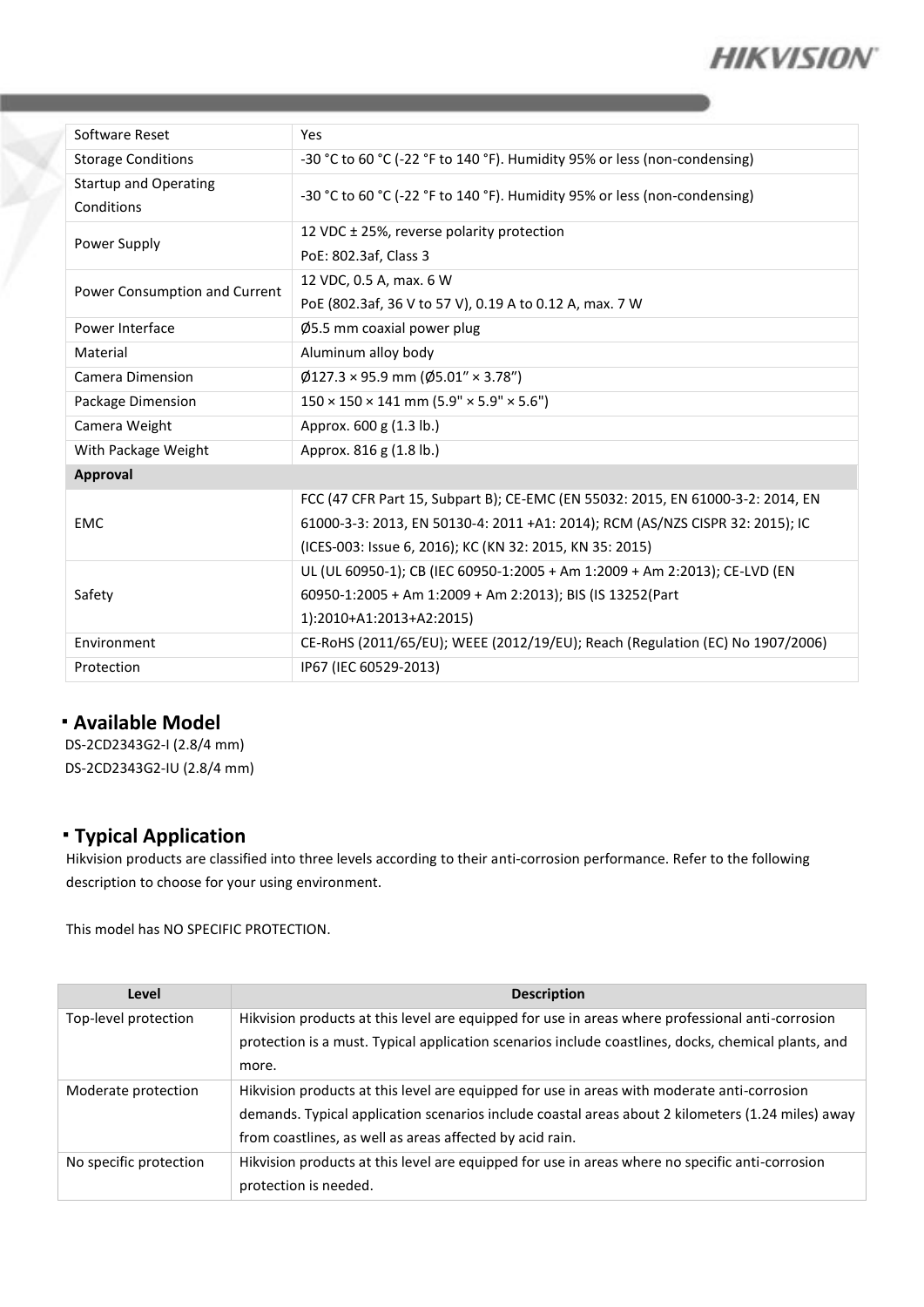

| Software Reset                             | Yes                                                                             |  |  |  |  |
|--------------------------------------------|---------------------------------------------------------------------------------|--|--|--|--|
| <b>Storage Conditions</b>                  | -30 °C to 60 °C (-22 °F to 140 °F). Humidity 95% or less (non-condensing)       |  |  |  |  |
| <b>Startup and Operating</b><br>Conditions | -30 °C to 60 °C (-22 °F to 140 °F). Humidity 95% or less (non-condensing)       |  |  |  |  |
| Power Supply                               | 12 VDC ± 25%, reverse polarity protection                                       |  |  |  |  |
|                                            | PoE: 802.3af, Class 3                                                           |  |  |  |  |
| Power Consumption and Current              | 12 VDC, 0.5 A, max. 6 W                                                         |  |  |  |  |
|                                            | PoE (802.3af, 36 V to 57 V), 0.19 A to 0.12 A, max. 7 W                         |  |  |  |  |
| Power Interface                            | Ø5.5 mm coaxial power plug                                                      |  |  |  |  |
| Material                                   | Aluminum alloy body                                                             |  |  |  |  |
| Camera Dimension                           | $\varphi$ 127.3 × 95.9 mm ( $\varphi$ 5.01" × 3.78")                            |  |  |  |  |
| Package Dimension                          | $150 \times 150 \times 141$ mm $(5.9" \times 5.9" \times 5.6")$                 |  |  |  |  |
| Camera Weight                              | Approx. 600 g (1.3 lb.)                                                         |  |  |  |  |
| With Package Weight                        | Approx. 816 g (1.8 lb.)                                                         |  |  |  |  |
| Approval                                   |                                                                                 |  |  |  |  |
|                                            | FCC (47 CFR Part 15, Subpart B); CE-EMC (EN 55032: 2015, EN 61000-3-2: 2014, EN |  |  |  |  |
| <b>EMC</b>                                 | 61000-3-3: 2013, EN 50130-4: 2011 +A1: 2014); RCM (AS/NZS CISPR 32: 2015); IC   |  |  |  |  |
|                                            | (ICES-003: Issue 6, 2016); KC (KN 32: 2015, KN 35: 2015)                        |  |  |  |  |
|                                            | UL (UL 60950-1); CB (IEC 60950-1:2005 + Am 1:2009 + Am 2:2013); CE-LVD (EN      |  |  |  |  |
| Safety                                     | 60950-1:2005 + Am 1:2009 + Am 2:2013); BIS (IS 13252(Part                       |  |  |  |  |
|                                            | 1):2010+A1:2013+A2:2015)                                                        |  |  |  |  |
| Environment                                | CE-RoHS (2011/65/EU); WEEE (2012/19/EU); Reach (Regulation (EC) No 1907/2006)   |  |  |  |  |
| Protection                                 | IP67 (IEC 60529-2013)                                                           |  |  |  |  |

#### **Available Model**

DS-2CD2343G2-I (2.8/4 mm) DS-2CD2343G2-IU (2.8/4 mm)

#### **Typical Application**

Hikvision products are classified into three levels according to their anti-corrosion performance. Refer to the following description to choose for your using environment.

This model has NO SPECIFIC PROTECTION.

| Level                  | <b>Description</b>                                                                                  |  |  |
|------------------------|-----------------------------------------------------------------------------------------------------|--|--|
| Top-level protection   | Hikvision products at this level are equipped for use in areas where professional anti-corrosion    |  |  |
|                        | protection is a must. Typical application scenarios include coastlines, docks, chemical plants, and |  |  |
|                        | more.                                                                                               |  |  |
| Moderate protection    | Hikvision products at this level are equipped for use in areas with moderate anti-corrosion         |  |  |
|                        | demands. Typical application scenarios include coastal areas about 2 kilometers (1.24 miles) away   |  |  |
|                        | from coastlines, as well as areas affected by acid rain.                                            |  |  |
| No specific protection | Hikvision products at this level are equipped for use in areas where no specific anti-corrosion     |  |  |
|                        | protection is needed.                                                                               |  |  |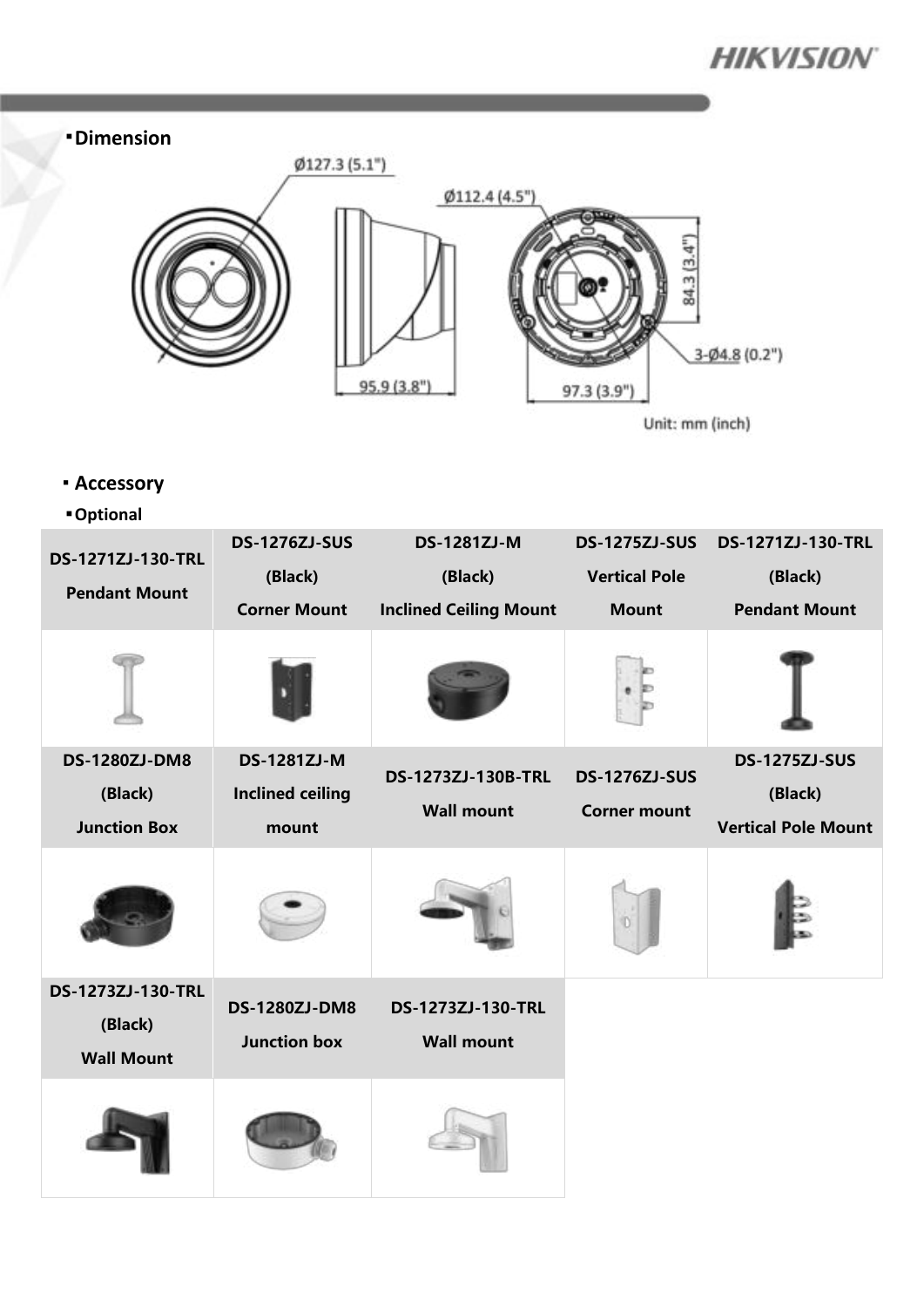# **HIKVISION**



- **Accessory**
- **Optional**

| DS-1271ZJ-130-TRL<br><b>Pendant Mount</b>              | <b>DS-1276ZJ-SUS</b><br>(Black)<br><b>Corner Mount</b> | <b>DS-1281ZJ-M</b><br>(Black)<br><b>Inclined Ceiling Mount</b> | <b>DS-1275ZJ-SUS</b><br><b>Vertical Pole</b><br><b>Mount</b> | DS-1271ZJ-130-TRL<br>(Black)<br><b>Pendant Mount</b>          |
|--------------------------------------------------------|--------------------------------------------------------|----------------------------------------------------------------|--------------------------------------------------------------|---------------------------------------------------------------|
|                                                        |                                                        |                                                                |                                                              |                                                               |
| <b>DS-1280ZJ-DM8</b><br>(Black)<br><b>Junction Box</b> | <b>DS-1281ZJ-M</b><br><b>Inclined ceiling</b><br>mount | DS-1273ZJ-130B-TRL<br><b>Wall mount</b>                        | <b>DS-1276ZJ-SUS</b><br><b>Corner mount</b>                  | <b>DS-1275ZJ-SUS</b><br>(Black)<br><b>Vertical Pole Mount</b> |
|                                                        |                                                        |                                                                |                                                              |                                                               |
| DS-1273ZJ-130-TRL<br>(Black)<br><b>Wall Mount</b>      | <b>DS-1280ZJ-DM8</b><br><b>Junction box</b>            | DS-1273ZJ-130-TRL<br><b>Wall mount</b>                         |                                                              |                                                               |
|                                                        |                                                        |                                                                |                                                              |                                                               |